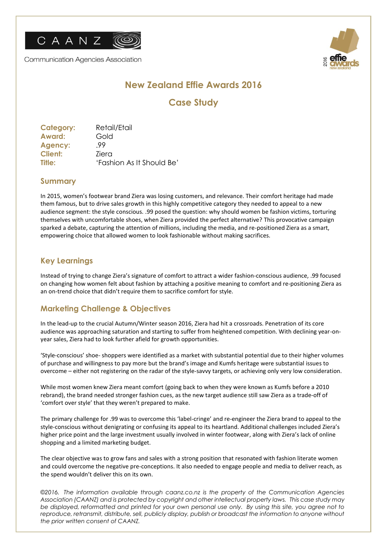

Communication Agencies Association



# **New Zealand Effie Awards 2016**

## **Case Study**

| 'Fashion As It Should Be' |
|---------------------------|
|                           |

#### **Summary**

In 2015, women's footwear brand Ziera was losing customers, and relevance. Their comfort heritage had made them famous, but to drive sales growth in this highly competitive category they needed to appeal to a new audience segment: the style conscious. .99 posed the question: why should women be fashion victims, torturing themselves with uncomfortable shoes, when Ziera provided the perfect alternative? This provocative campaign sparked a debate, capturing the attention of millions, including the media, and re-positioned Ziera as a smart, empowering choice that allowed women to look fashionable without making sacrifices.

#### **Key Learnings**

Instead of trying to change Ziera's signature of comfort to attract a wider fashion-conscious audience, .99 focused on changing how women felt about fashion by attaching a positive meaning to comfort and re-positioning Ziera as an on-trend choice that didn't require them to sacrifice comfort for style.

### **Marketing Challenge & Objectives**

In the lead-up to the crucial Autumn/Winter season 2016, Ziera had hit a crossroads. Penetration of its core audience was approaching saturation and starting to suffer from heightened competition. With declining year-onyear sales, Ziera had to look further afield for growth opportunities.

'Style-conscious' shoe- shoppers were identified as a market with substantial potential due to their higher volumes of purchase and willingness to pay more but the brand's image and Kumfs heritage were substantial issues to overcome – either not registering on the radar of the style-savvy targets, or achieving only very low consideration.

While most women knew Ziera meant comfort (going back to when they were known as Kumfs before a 2010 rebrand), the brand needed stronger fashion cues, as the new target audience still saw Ziera as a trade-off of 'comfort over style' that they weren't prepared to make.

The primary challenge for .99 was to overcome this 'label-cringe' and re-engineer the Ziera brand to appeal to the style-conscious without denigrating or confusing its appeal to its heartland. Additional challenges included Ziera's higher price point and the large investment usually involved in winter footwear, along with Ziera's lack of online shopping and a limited marketing budget.

The clear objective was to grow fans and sales with a strong position that resonated with fashion literate women and could overcome the negative pre-conceptions. It also needed to engage people and media to deliver reach, as the spend wouldn't deliver this on its own.

*©2016. The information available through caanz.co.nz is the property of the Communication Agencies Association (CAANZ) and is protected by copyright and other intellectual property laws. This case study may be displayed, reformatted and printed for your own personal use only. By using this site, you agree not to*  reproduce, retransmit, distribute, sell, publicly display, publish or broadcast the information to anyone without *the prior written consent of CAANZ.*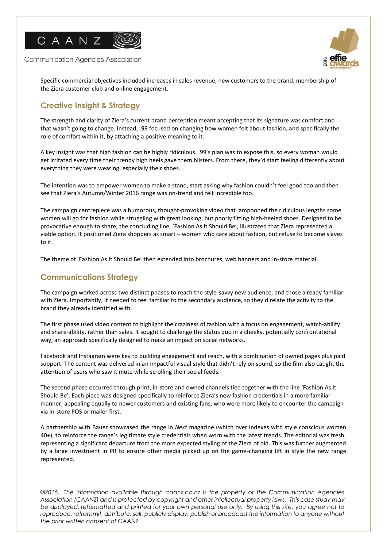

**Communication Agencies Association** 



Specific commercial objectives included increases in sales revenue, new customers to the brand, membership of the Ziera customer club and online engagement.

## **Creative Insight & Strategy**

The strength and clarity of Ziera's current brand perception meant accepting that its signature was comfort and that wasn't going to change. Instead, .99 focused on changing how women felt about fashion, and specifically the role of comfort within it, by attaching a positive meaning to it.

A key insight was that high fashion can be highly ridiculous. .99's plan was to expose this, so every woman would get irritated every time their trendy high heels gave them blisters. From there, they'd start feeling differently about everything they were wearing, especially their shoes.

The intention was to empower women to make a stand, start asking why fashion couldn't feel good too and then see that Ziera's Autumn/Winter 2016 range was on-trend and felt incredible too.

The campaign centrepiece was a humorous, thought-provoking video that lampooned the ridiculous lengths some women will go for fashion while struggling with great looking, but poorly fitting high-heeled shoes. Designed to be provocative enough to share, the concluding line, 'Fashion As It Should Be', illustrated that Ziera represented a viable option. It positioned Ziera shoppers as smart – women who care about fashion, but refuse to become slaves to it.

The theme of 'Fashion As It Should Be' then extended into brochures, web banners and in-store material.

### **Communications Strategy**

The campaign worked across two distinct phases to reach the style-savvy new audience, and those already familiar with Ziera. Importantly, it needed to feel familiar to the secondary audience, so they'd relate the activity to the brand they already identified with.

The first phase used video content to highlight the craziness of fashion with a focus on engagement, watch-ability and share-ability, rather than sales. It sought to challenge the status quo in a cheeky, potentially confrontational way, an approach specifically designed to make an impact on social networks.

Facebook and Instagram were key to building engagement and reach, with a combination of owned pages plus paid support. The content was delivered in an impactful visual style that didn't rely on sound, so the film also caught the attention of users who saw it mute while scrolling their social feeds.

The second phase occurred through print, in-store and owned channels tied together with the line 'Fashion As It Should Be'. Each piece was designed specifically to reinforce Ziera's new fashion credentials in a more familiar manner, appealing equally to newer customers and existing fans, who were more likely to encounter the campaign via in-store POS or mailer first.

A partnership with Bauer showcased the range in *Next* magazine (which over indexes with style conscious women 40+), to reinforce the range's legitimate style credentials when worn with the latest trends. The editorial was fresh, representing a significant departure from the more expected styling of the Ziera of old. This was further augmented by a large investment in PR to ensure other media picked up on the game-changing lift in style the new range represented.

*©2016. The information available through caanz.co.nz is the property of the Communication Agencies Association (CAANZ) and is protected by copyright and other intellectual property laws. This case study may be displayed, reformatted and printed for your own personal use only. By using this site, you agree not to*  reproduce, retransmit, distribute, sell, publicly display, publish or broadcast the information to anyone without *the prior written consent of CAANZ.*